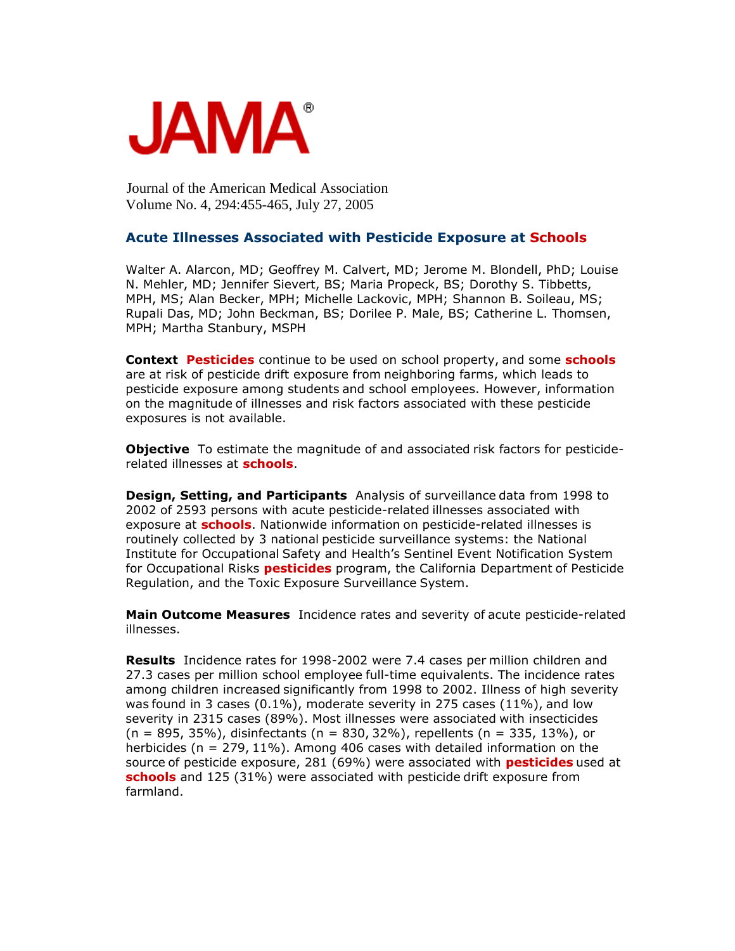

Journal of the American Medical Association Volume No. 4, 294:455-465, July 27, 2005

## **Acute Illnesses Associated with Pesticide Exposure at Schools**

Walter A. Alarcon, MD; Geoffrey M. Calvert, MD; Jerome M. Blondell, PhD; Louise N. Mehler, MD; Jennifer Sievert, BS; Maria Propeck, BS; Dorothy S. Tibbetts, MPH, MS; Alan Becker, MPH; Michelle Lackovic, MPH; Shannon B. Soileau, MS; Rupali Das, MD; John Beckman, BS; Dorilee P. Male, BS; Catherine L. Thomsen, MPH; Martha Stanbury, MSPH

**Context Pesticides** continue to be used on school property, and some **schools** are at risk of pesticide drift exposure from neighboring farms, which leads to pesticide exposure among students and school employees. However, information on the magnitude of illnesses and risk factors associated with these pesticide exposures is not available.

**Objective** To estimate the magnitude of and associated risk factors for pesticiderelated illnesses at **schools**.

**Design, Setting, and Participants** Analysis of surveillance data from 1998 to 2002 of 2593 persons with acute pesticide-related illnesses associated with exposure at **schools**. Nationwide information on pesticide-related illnesses is routinely collected by 3 national pesticide surveillance systems: the National Institute for Occupational Safety and Health's Sentinel Event Notification System for Occupational Risks **pesticides** program, the California Department of Pesticide Regulation, and the Toxic Exposure Surveillance System.

**Main Outcome Measures** Incidence rates and severity of acute pesticide-related illnesses.

**Results** Incidence rates for 1998-2002 were 7.4 cases per million children and 27.3 cases per million school employee full-time equivalents. The incidence rates among children increased significantly from 1998 to 2002. Illness of high severity was found in 3 cases (0.1%), moderate severity in 275 cases (11%), and low severity in 2315 cases (89%). Most illnesses were associated with insecticides  $(n = 895, 35\%)$ , disinfectants  $(n = 830, 32\%)$ , repellents  $(n = 335, 13\%)$ , or herbicides (n = 279, 11%). Among 406 cases with detailed information on the source of pesticide exposure, 281 (69%) were associated with **pesticides** used at **schools** and 125 (31%) were associated with pesticide drift exposure from farmland.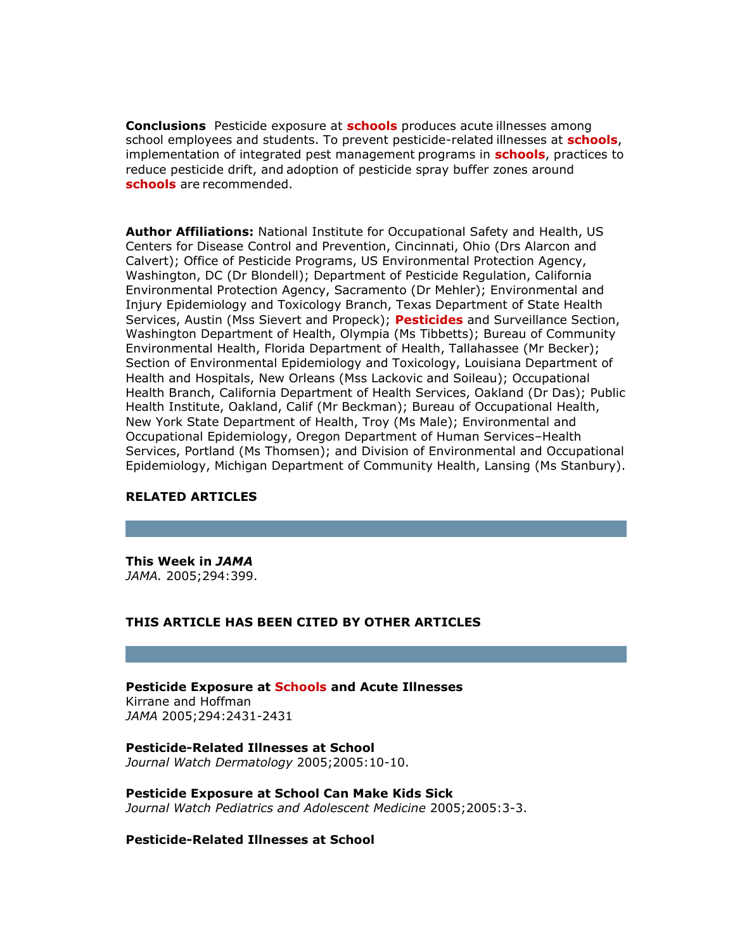**Conclusions** Pesticide exposure at **schools** produces acute illnesses among school employees and students. To prevent pesticide-related illnesses at **schools**, implementation of integrated pest management programs in **schools**, practices to reduce pesticide drift, and adoption of pesticide spray buffer zones around **schools** are recommended.

**Author Affiliations:** National Institute for Occupational Safety and Health, US Centers for Disease Control and Prevention, Cincinnati, Ohio (Drs Alarcon and Calvert); Office of Pesticide Programs, US Environmental Protection Agency, Washington, DC (Dr Blondell); Department of Pesticide Regulation, California Environmental Protection Agency, Sacramento (Dr Mehler); Environmental and Injury Epidemiology and Toxicology Branch, Texas Department of State Health Services, Austin (Mss Sievert and Propeck); **Pesticides** and Surveillance Section, Washington Department of Health, Olympia (Ms Tibbetts); Bureau of Community Environmental Health, Florida Department of Health, Tallahassee (Mr Becker); Section of Environmental Epidemiology and Toxicology, Louisiana Department of Health and Hospitals, New Orleans (Mss Lackovic and Soileau); Occupational Health Branch, California Department of Health Services, Oakland (Dr Das); Public Health Institute, Oakland, Calif (Mr Beckman); Bureau of Occupational Health, New York State Department of Health, Troy (Ms Male); Environmental and Occupational Epidemiology, Oregon Department of Human Services–Health Services, Portland (Ms Thomsen); and Division of Environmental and Occupational Epidemiology, Michigan Department of Community Health, Lansing (Ms Stanbury).

## **RELATED ARTICLES**

**This Week in** *JAMA JAMA.* 2005;294:399.

## **THIS ARTICLE HAS BEEN CITED BY OTHER ARTICLES**

**Pesticide Exposure at Schools and Acute Illnesses** Kirrane and Hoffman *JAMA* 2005;294:2431-2431

**Pesticide-Related Illnesses at School** *Journal Watch Dermatology* 2005;2005:10-10.

**Pesticide Exposure at School Can Make Kids Sick** *Journal Watch Pediatrics and Adolescent Medicine* 2005;2005:3-3.

**Pesticide-Related Illnesses at School**